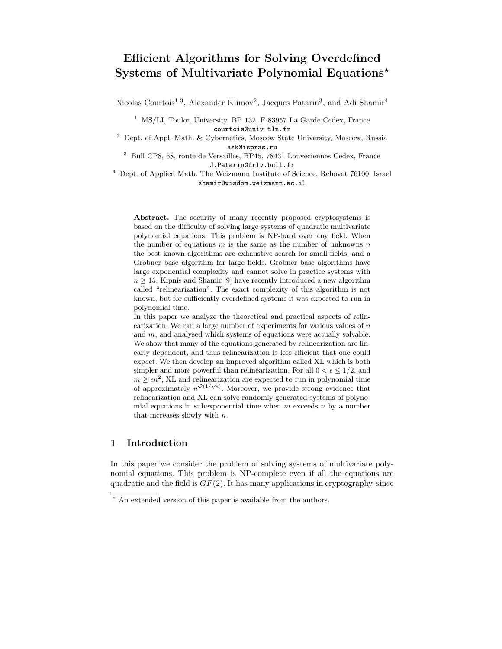# Efficient Algorithms for Solving Overdefined Systems of Multivariate Polynomial Equations?

Nicolas Courtois<sup>1,3</sup>, Alexander Klimov<sup>2</sup>, Jacques Patarin<sup>3</sup>, and Adi Shamir<sup>4</sup>

 $1$  MS/LI, Toulon University, BP 132, F-83957 La Garde Cedex, France courtois@univ-tln.fr

<sup>2</sup> Dept. of Appl. Math. & Cybernetics, Moscow State University, Moscow, Russia ask@ispras.ru

<sup>3</sup> Bull CP8, 68, route de Versailles, BP45, 78431 Louveciennes Cedex, France J.Patarin@frlv.bull.fr

<sup>4</sup> Dept. of Applied Math. The Weizmann Institute of Science, Rehovot 76100, Israel shamir@wisdom.weizmann.ac.il

Abstract. The security of many recently proposed cryptosystems is based on the difficulty of solving large systems of quadratic multivariate polynomial equations. This problem is NP-hard over any field. When the number of equations  $m$  is the same as the number of unknowns  $n$ the best known algorithms are exhaustive search for small fields, and a Gröbner base algorithm for large fields. Gröbner base algorithms have large exponential complexity and cannot solve in practice systems with  $n \geq 15$ . Kipnis and Shamir [9] have recently introduced a new algorithm called "relinearization". The exact complexity of this algorithm is not known, but for sufficiently overdefined systems it was expected to run in polynomial time.

In this paper we analyze the theoretical and practical aspects of relinearization. We ran a large number of experiments for various values of  $n$ and m, and analysed which systems of equations were actually solvable. We show that many of the equations generated by relinearization are linearly dependent, and thus relinearization is less efficient that one could expect. We then develop an improved algorithm called XL which is both simpler and more powerful than relinearization. For all  $0 < \epsilon \leq 1/2$ , and  $m \geq \epsilon n^2$ , XL and relinearization are expected to run in polynomial time of approximately  $n^{\mathcal{O}(1/\sqrt{\epsilon})}$ . Moreover, we provide strong evidence that relinearization and XL can solve randomly generated systems of polynomial equations in subexponential time when  $m$  exceeds  $n$  by a number that increases slowly with  $n$ .

# 1 Introduction

In this paper we consider the problem of solving systems of multivariate polynomial equations. This problem is NP-complete even if all the equations are quadratic and the field is  $GF(2)$ . It has many applications in cryptography, since

<sup>?</sup> An extended version of this paper is available from the authors.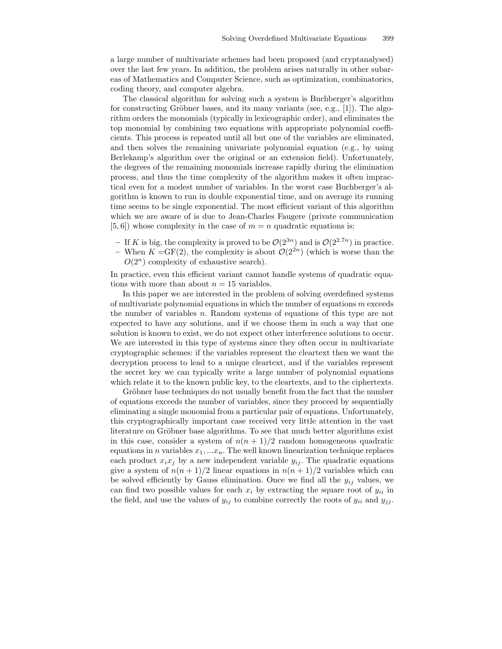a large number of multivariate schemes had been proposed (and cryptanalysed) over the last few years. In addition, the problem arises naturally in other subareas of Mathematics and Computer Science, such as optimization, combinatorics, coding theory, and computer algebra.

The classical algorithm for solving such a system is Buchberger's algorithm for constructing Gröbner bases, and its many variants (see, e.g., [1]). The algorithm orders the monomials (typically in lexicographic order), and eliminates the top monomial by combining two equations with appropriate polynomial coefficients. This process is repeated until all but one of the variables are eliminated, and then solves the remaining univariate polynomial equation (e.g., by using Berlekamp's algorithm over the original or an extension field). Unfortunately, the degrees of the remaining monomials increase rapidly during the elimination process, and thus the time complexity of the algorithm makes it often impractical even for a modest number of variables. In the worst case Buchberger's algorithm is known to run in double exponential time, and on average its running time seems to be single exponential. The most efficient variant of this algorithm which we are aware of is due to Jean-Charles Faugere (private communication [5, 6]) whose complexity in the case of  $m = n$  quadratic equations is:

- If K is big, the complexity is proved to be  $\mathcal{O}(2^{3n})$  and is  $\mathcal{O}(2^{2.7n})$  in practice.
- When  $K = GF(2)$ , the complexity is about  $\mathcal{O}(2^{2n})$  (which is worse than the  $O(2^n)$  complexity of exhaustive search).

In practice, even this efficient variant cannot handle systems of quadratic equations with more than about  $n = 15$  variables.

In this paper we are interested in the problem of solving overdefined systems of multivariate polynomial equations in which the number of equations  $m$  exceeds the number of variables n. Random systems of equations of this type are not expected to have any solutions, and if we choose them in such a way that one solution is known to exist, we do not expect other interference solutions to occur. We are interested in this type of systems since they often occur in multivariate cryptographic schemes: if the variables represent the cleartext then we want the decryption process to lead to a unique cleartext, and if the variables represent the secret key we can typically write a large number of polynomial equations which relate it to the known public key, to the cleartexts, and to the ciphertexts.

Gröbner base techniques do not usually benefit from the fact that the number of equations exceeds the number of variables, since they proceed by sequentially eliminating a single monomial from a particular pair of equations. Unfortunately, this cryptographically important case received very little attention in the vast literature on Gröbner base algorithms. To see that much better algorithms exist in this case, consider a system of  $n(n + 1)/2$  random homogeneous quadratic equations in *n* variables  $x_1, \ldots, x_n$ . The well known linearization technique replaces each product  $x_i x_j$  by a new independent variable  $y_{ij}$ . The quadratic equations give a system of  $n(n+1)/2$  linear equations in  $n(n+1)/2$  variables which can be solved efficiently by Gauss elimination. Once we find all the  $y_{ij}$  values, we can find two possible values for each  $x_i$  by extracting the square root of  $y_{ii}$  in the field, and use the values of  $y_{ij}$  to combine correctly the roots of  $y_{ii}$  and  $y_{jj}$ .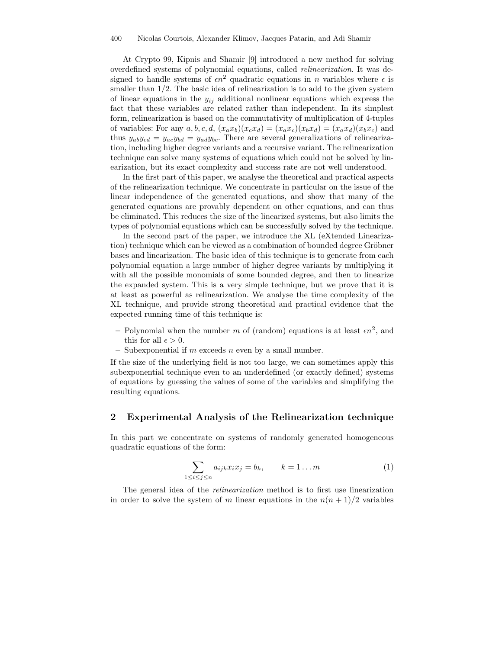At Crypto 99, Kipnis and Shamir [9] introduced a new method for solving overdefined systems of polynomial equations, called relinearization. It was designed to handle systems of  $\epsilon n^2$  quadratic equations in n variables where  $\epsilon$  is smaller than  $1/2$ . The basic idea of relinearization is to add to the given system of linear equations in the  $y_{ij}$  additional nonlinear equations which express the fact that these variables are related rather than independent. In its simplest form, relinearization is based on the commutativity of multiplication of 4-tuples of variables: For any  $a, b, c, d, (x_a x_b)(x_c x_d) = (x_a x_c)(x_b x_d) = (x_a x_d)(x_b x_c)$  and thus  $y_{ab}y_{cd} = y_{ac}y_{bd} = y_{ad}y_{bc}$ . There are several generalizations of relinearization, including higher degree variants and a recursive variant. The relinearization technique can solve many systems of equations which could not be solved by linearization, but its exact complexity and success rate are not well understood.

In the first part of this paper, we analyse the theoretical and practical aspects of the relinearization technique. We concentrate in particular on the issue of the linear independence of the generated equations, and show that many of the generated equations are provably dependent on other equations, and can thus be eliminated. This reduces the size of the linearized systems, but also limits the types of polynomial equations which can be successfully solved by the technique.

In the second part of the paper, we introduce the XL (eXtended Linearization) technique which can be viewed as a combination of bounded degree Gröbner bases and linearization. The basic idea of this technique is to generate from each polynomial equation a large number of higher degree variants by multiplying it with all the possible monomials of some bounded degree, and then to linearize the expanded system. This is a very simple technique, but we prove that it is at least as powerful as relinearization. We analyse the time complexity of the XL technique, and provide strong theoretical and practical evidence that the expected running time of this technique is:

- Polynomial when the number m of (random) equations is at least  $\epsilon n^2$ , and this for all  $\epsilon > 0$ .
- Subexponential if m exceeds n even by a small number.

If the size of the underlying field is not too large, we can sometimes apply this subexponential technique even to an underdefined (or exactly defined) systems of equations by guessing the values of some of the variables and simplifying the resulting equations.

## 2 Experimental Analysis of the Relinearization technique

In this part we concentrate on systems of randomly generated homogeneous quadratic equations of the form:

$$
\sum_{1 \le i \le j \le n} a_{ijk} x_i x_j = b_k, \qquad k = 1 \dots m \tag{1}
$$

The general idea of the relinearization method is to first use linearization in order to solve the system of m linear equations in the  $n(n + 1)/2$  variables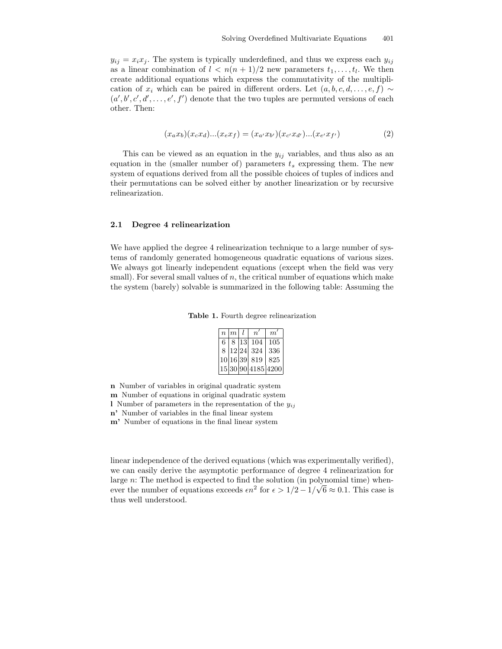$y_{ij} = x_i x_j$ . The system is typically underdefined, and thus we express each  $y_{ij}$ as a linear combination of  $l < n(n+1)/2$  new parameters  $t_1, \ldots, t_l$ . We then create additional equations which express the commutativity of the multiplication of  $x_i$  which can be paired in different orders. Let  $(a, b, c, d, \ldots, e, f) \sim$  $(a',b',c',d',\ldots,e',f')$  denote that the two tuples are permuted versions of each other. Then:

$$
(x_a x_b)(x_c x_d)...(x_e x_f) = (x_{a'} x_{b'}) (x_{c'} x_{d'})...(x_{e'} x_{f'})
$$
\n(2)

This can be viewed as an equation in the  $y_{ij}$  variables, and thus also as an equation in the (smaller number of) parameters  $t_s$  expressing them. The new system of equations derived from all the possible choices of tuples of indices and their permutations can be solved either by another linearization or by recursive relinearization.

## 2.1 Degree 4 relinearization

We have applied the degree 4 relinearization technique to a large number of systems of randomly generated homogeneous quadratic equations of various sizes. We always got linearly independent equations (except when the field was very small). For several small values of  $n$ , the critical number of equations which make the system (barely) solvable is summarized in the following table: Assuming the

Table 1. Fourth degree relinearization

|   | $n \nvert m$ | $n^{\prime}$ | $m^{\prime}$       |
|---|--------------|--------------|--------------------|
| 6 |              | 8 13 104     | 105                |
|   |              | 8 12 24 324  | 336                |
|   |              | 10 16 39 819 | 825                |
|   |              |              | 15 30 90 4185 4200 |

n Number of variables in original quadratic system m Number of equations in original quadratic system l Number of parameters in the representation of the  $y_{ij}$ n' Number of variables in the final linear system

m' Number of equations in the final linear system

linear independence of the derived equations (which was experimentally verified), we can easily derive the asymptotic performance of degree 4 relinearization for large n: The method is expected to find the solution (in polynomial time) whenever the number of equations exceeds  $\epsilon n^2$  for  $\epsilon > 1/2 - 1/\sqrt{6} \approx 0.1$ . This case is thus well understood.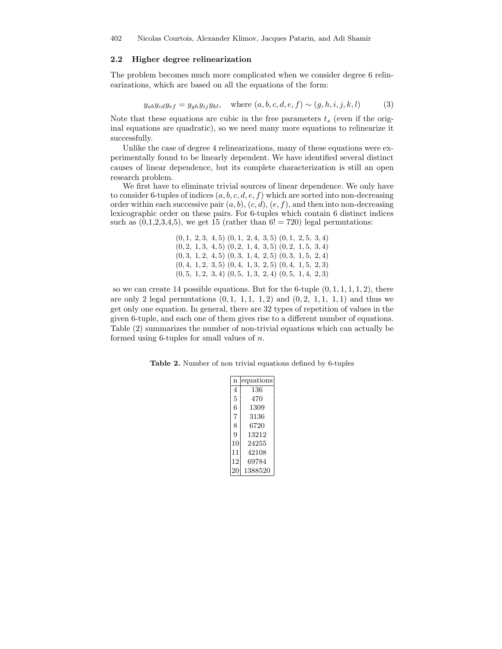#### 2.2 Higher degree relinearization

The problem becomes much more complicated when we consider degree 6 relinearizations, which are based on all the equations of the form:

$$
y_{ab}y_{cd}y_{ef} = y_{gh}y_{ij}y_{kl}, \quad \text{where } (a, b, c, d, e, f) \sim (g, h, i, j, k, l) \tag{3}
$$

Note that these equations are cubic in the free parameters  $t_s$  (even if the original equations are quadratic), so we need many more equations to relinearize it successfully.

Unlike the case of degree 4 relinearizations, many of these equations were experimentally found to be linearly dependent. We have identified several distinct causes of linear dependence, but its complete characterization is still an open research problem.

We first have to eliminate trivial sources of linear dependence. We only have to consider 6-tuples of indices  $(a, b, c, d, e, f)$  which are sorted into non-decreasing order within each successive pair  $(a, b), (c, d), (e, f)$ , and then into non-decreasing lexicographic order on these pairs. For 6-tuples which contain 6 distinct indices such as  $(0,1,2,3,4,5)$ , we get 15 (rather than  $6! = 720$ ) legal permutations:

|  |  |  | $(0, 1, 2, 3, 4, 5)$ $(0, 1, 2, 4, 3, 5)$ $(0, 1, 2, 5, 3, 4)$ |  |
|--|--|--|----------------------------------------------------------------|--|
|  |  |  | $(0, 2, 1, 3, 4, 5)$ $(0, 2, 1, 4, 3, 5)$ $(0, 2, 1, 5, 3, 4)$ |  |
|  |  |  | $(0,3, 1,2, 4,5)$ $(0,3, 1,4, 2,5)$ $(0,3, 1,5, 2,4)$          |  |
|  |  |  | $(0,4, 1,2, 3,5)$ $(0,4, 1,3, 2,5)$ $(0,4, 1,5, 2,3)$          |  |
|  |  |  | $(0,5, 1, 2, 3, 4)$ $(0,5, 1, 3, 2, 4)$ $(0,5, 1, 4, 2, 3)$    |  |

so we can create 14 possible equations. But for the 6-tuple  $(0, 1, 1, 1, 1, 2)$ , there are only 2 legal permutations  $(0, 1, 1, 1, 1, 2)$  and  $(0, 2, 1, 1, 1, 1)$  and thus we get only one equation. In general, there are 32 types of repetition of values in the given 6-tuple, and each one of them gives rise to a different number of equations. Table (2) summarizes the number of non-trivial equations which can actually be formed using 6-tuples for small values of n.

Table 2. Number of non trivial equations defined by 6-tuples

| n  | equations |
|----|-----------|
| 4  | 136       |
| 5  | 470       |
| 6  | 1309      |
| 7  | 3136      |
| 8  | 6720      |
| 9  | 13212     |
| 10 | 24255     |
| 11 | 42108     |
| 12 | 69784     |
| 20 | 1388520   |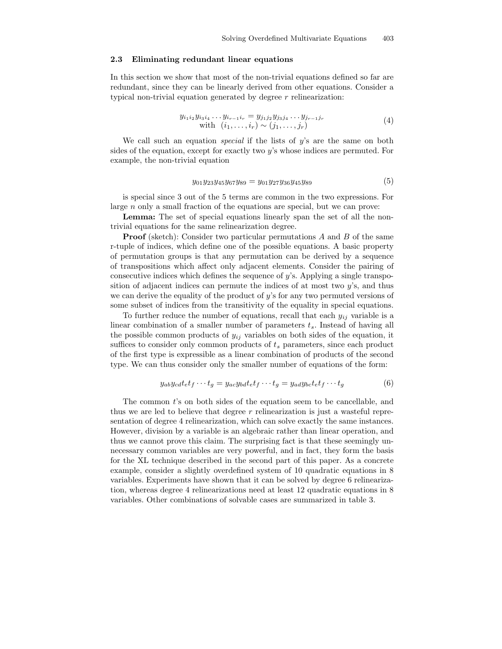#### 2.3 Eliminating redundant linear equations

In this section we show that most of the non-trivial equations defined so far are redundant, since they can be linearly derived from other equations. Consider a typical non-trivial equation generated by degree r relinearization:

$$
y_{i_1 i_2} y_{i_3 i_4} \dots y_{i_{r-1} i_r} = y_{j_1 j_2} y_{j_3 j_4} \dots y_{j_{r-1} j_r}
$$
  
with  $(i_1, \dots, i_r) \sim (j_1, \dots, j_r)$  (4)

We call such an equation *special* if the lists of  $y$ 's are the same on both sides of the equation, except for exactly two  $y$ 's whose indices are permuted. For example, the non-trivial equation

$$
y_{01}y_{23}y_{45}y_{67}y_{89} = y_{01}y_{27}y_{36}y_{45}y_{89}
$$
 (5)

is special since 3 out of the 5 terms are common in the two expressions. For large n only a small fraction of the equations are special, but we can prove:

Lemma: The set of special equations linearly span the set of all the nontrivial equations for the same relinearization degree.

**Proof** (sketch): Consider two particular permutations  $A$  and  $B$  of the same r-tuple of indices, which define one of the possible equations. A basic property of permutation groups is that any permutation can be derived by a sequence of transpositions which affect only adjacent elements. Consider the pairing of consecutive indices which defines the sequence of  $y$ 's. Applying a single transposition of adjacent indices can permute the indices of at most two y's, and thus we can derive the equality of the product of  $y$ 's for any two permuted versions of some subset of indices from the transitivity of the equality in special equations.

To further reduce the number of equations, recall that each  $y_{ij}$  variable is a linear combination of a smaller number of parameters  $t_s$ . Instead of having all the possible common products of  $y_{ij}$  variables on both sides of the equation, it suffices to consider only common products of  $t_s$  parameters, since each product of the first type is expressible as a linear combination of products of the second type. We can thus consider only the smaller number of equations of the form:

$$
y_{ab}y_{cd}t_{e}t_{f}\cdots t_{g} = y_{ac}y_{bd}t_{e}t_{f}\cdots t_{g} = y_{ad}y_{bc}t_{e}t_{f}\cdots t_{g}
$$
(6)

The common t's on both sides of the equation seem to be cancellable, and thus we are led to believe that degree r relinearization is just a wasteful representation of degree 4 relinearization, which can solve exactly the same instances. However, division by a variable is an algebraic rather than linear operation, and thus we cannot prove this claim. The surprising fact is that these seemingly unnecessary common variables are very powerful, and in fact, they form the basis for the XL technique described in the second part of this paper. As a concrete example, consider a slightly overdefined system of 10 quadratic equations in 8 variables. Experiments have shown that it can be solved by degree 6 relinearization, whereas degree 4 relinearizations need at least 12 quadratic equations in 8 variables. Other combinations of solvable cases are summarized in table 3.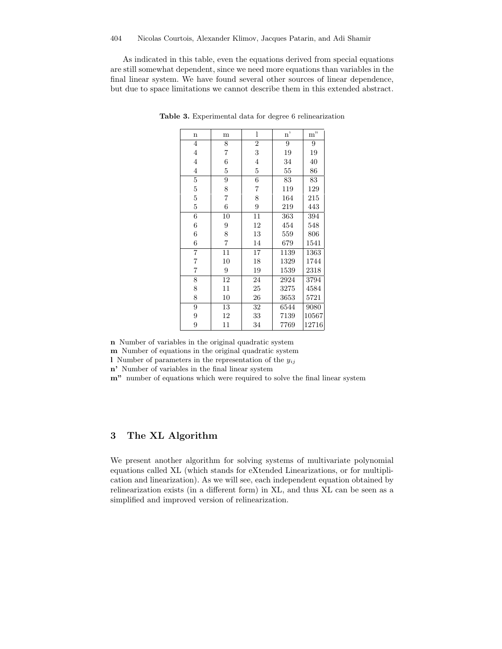As indicated in this table, even the equations derived from special equations are still somewhat dependent, since we need more equations than variables in the final linear system. We have found several other sources of linear dependence, but due to space limitations we cannot describe them in this extended abstract.

| $\mathbf n$    | $\mathbf m$ | 1              | n,   | $\mathbf{m}^{\prime\prime}$ |
|----------------|-------------|----------------|------|-----------------------------|
| $\overline{4}$ | 8           | $\overline{2}$ | 9    | 9                           |
| $\overline{4}$ | 7           | 3              | 19   | 19                          |
| $\overline{4}$ | 6           | $\overline{4}$ | 34   | 40                          |
| $\overline{4}$ | 5           | 5              | 55   | 86                          |
| $\mathbf 5$    | 9           | 6              | 83   | 83                          |
| $\overline{5}$ | 8           | 7              | 119  | 129                         |
| $\overline{5}$ | 7           | 8              | 164  | 215                         |
| $\overline{5}$ | 6           | 9              | 219  | 443                         |
| $\,6$          | 10          | 11             | 363  | 394                         |
| 6              | 9           | 12             | 454  | 548                         |
| 6              | 8           | 13             | 559  | 806                         |
| 6              | 7           | 14             | 679  | 1541                        |
| 7              | 11          | 17             | 1139 | 1363                        |
| 7              | 10          | 18             | 1329 | 1744                        |
| 7              | 9           | 19             | 1539 | 2318                        |
| 8              | 12          | 24             | 2924 | 3794                        |
| 8              | 11          | 25             | 3275 | 4584                        |
| 8              | 10          | 26             | 3653 | 5721                        |
| 9              | 13          | 32             | 6544 | 9080                        |
| 9              | 12          | 33             | 7139 | 10567                       |
| 9              | 11          | 34             | 7769 | 12716                       |

Table 3. Experimental data for degree 6 relinearization

n Number of variables in the original quadratic system

m Number of equations in the original quadratic system

l Number of parameters in the representation of the  $y_{ij}$ 

n' Number of variables in the final linear system

m" number of equations which were required to solve the final linear system

## 3 The XL Algorithm

We present another algorithm for solving systems of multivariate polynomial equations called XL (which stands for eXtended Linearizations, or for multiplication and linearization). As we will see, each independent equation obtained by relinearization exists (in a different form) in XL, and thus XL can be seen as a simplified and improved version of relinearization.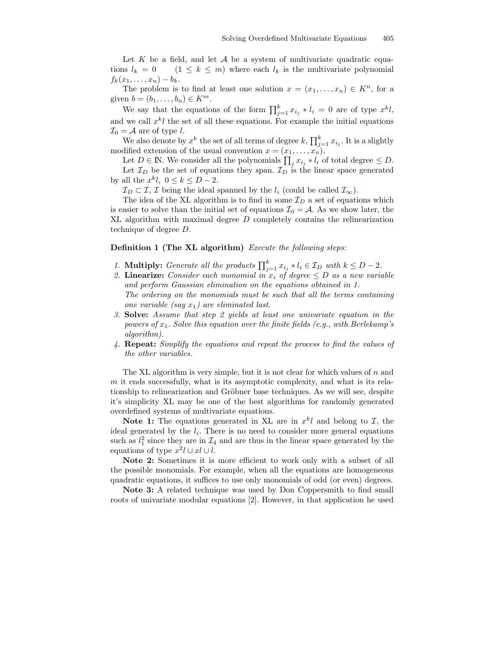Let K be a field, and let  $\mathcal A$  be a system of multivariate quadratic equations  $l_k = 0$   $(1 \leq k \leq m)$  where each  $l_k$  is the multivariate polynomial  $f_k(x_1, \ldots, x_n) - b_k.$ 

The problem is to find at least one solution  $x = (x_1, \ldots, x_n) \in K^n$ , for a given  $b = (b_1, \ldots, b_n) \in K^m$ .

We say that the equations of the form  $\prod_{j=1}^{k} x_{i_j} * l_i = 0$  are of type  $x^k l$ , and we call  $x^k l$  the set of all these equations. For example the initial equations  $\mathcal{I}_0 = \mathcal{A}$  are of type l.

We also denote by  $x^k$  the set of all terms of degree  $k$ ,  $\prod_{j=1}^k x_{i_j}$ . It is a slightly modified extension of the usual convention  $x = (x_1, \ldots, x_n)$ .

Let  $D \in \mathbb{N}$ . We consider all the polynomials  $\prod_j x_{i_j} * l_i$  of total degree  $\leq D$ . Let  $\mathcal{I}_D$  be the set of equations they span.  $\mathcal{I}_D$  is the linear space generated by all the  $x^k l$ ,  $0 \le k \le D-2$ .

 $\mathcal{I}_D \subset \mathcal{I}, \mathcal{I}$  being the ideal spanned by the  $l_i$  (could be called  $\mathcal{I}_{\infty}$ ).

The idea of the XL algorithm is to find in some  $\mathcal{I}_D$  a set of equations which is easier to solve than the initial set of equations  $\mathcal{I}_0 = \mathcal{A}$ . As we show later, the  $XL$  algorithm with maximal degree  $D$  completely contains the relinearization technique of degree D.

#### Definition 1 (The XL algorithm) Execute the following steps:

- 1. **Multiply:** Generate all the products  $\prod_{j=1}^{k} x_{i_j} * l_i \in \mathcal{I}_D$  with  $k \leq D-2$ .
- 2. **Linearize:** Consider each monomial in  $x_i$  of degree  $\leq D$  as a new variable and perform Gaussian elimination on the equations obtained in 1. The ordering on the monomials must be such that all the terms containing

one variable (say  $x_1$ ) are eliminated last.

- 3. Solve: Assume that step 2 yields at least one univariate equation in the powers of  $x_1$ . Solve this equation over the finite fields (e.g., with Berlekamp's algorithm).
- 4. Repeat: Simplify the equations and repeat the process to find the values of the other variables.

The XL algorithm is very simple, but it is not clear for which values of  $n$  and  $m$  it ends successfully, what is its asymptotic complexity, and what is its relationship to relinearization and Gröbner base techniques. As we will see, despite it's simplicity XL may be one of the best algorithms for randomly generated overdefined systems of multivariate equations.

**Note 1:** The equations generated in XL are in  $x^{k}l$  and belong to  $\mathcal{I}$ , the ideal generated by the  $l_i$ . There is no need to consider more general equations such as  $l_1^2$  since they are in  $\mathcal{I}_4$  and are thus in the linear space generated by the equations of type  $x^2 \ell \cup x \ell \cup \ell$ .

Note 2: Sometimes it is more efficient to work only with a subset of all the possible monomials. For example, when all the equations are homogeneous quadratic equations, it suffices to use only monomials of odd (or even) degrees.

Note 3: A related technique was used by Don Coppersmith to find small roots of univariate modular equations [2]. However, in that application he used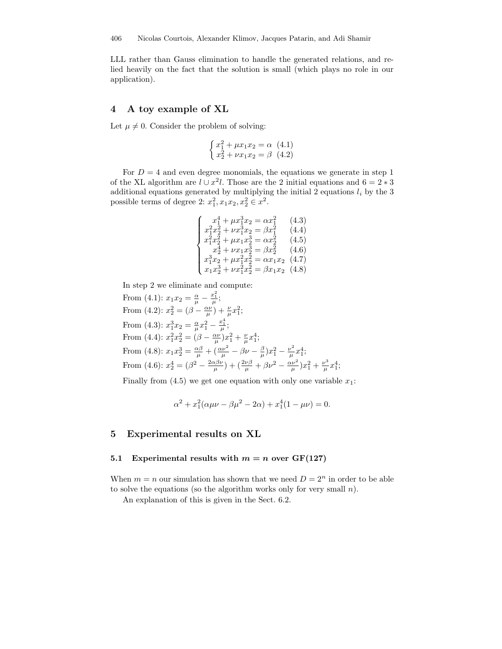LLL rather than Gauss elimination to handle the generated relations, and relied heavily on the fact that the solution is small (which plays no role in our application).

# 4 A toy example of XL

Let  $\mu \neq 0$ . Consider the problem of solving:

$$
\begin{cases} x_1^2 + \mu x_1 x_2 = \alpha & (4.1) \\ x_2^2 + \nu x_1 x_2 = \beta & (4.2) \end{cases}
$$

For  $D = 4$  and even degree monomials, the equations we generate in step 1 of the XL algorithm are  $l \cup x^2 l$ . Those are the 2 initial equations and  $6 = 2 * 3$ additional equations generated by multiplying the initial 2 equations  $l_i$  by the 3 possible terms of degree 2:  $x_1^2, x_1x_2, x_2^2 \in x^2$ .

$$
\begin{cases}\nx_1^4 + \mu x_1^3 x_2 = \alpha x_1^2 & (4.3) \\
x_1^2 x_2^2 + \nu x_1^3 x_2 = \beta x_1^2 & (4.4) \\
x_1^2 x_2^2 + \mu x_1 x_2^3 = \alpha x_2^2 & (4.5) \\
x_2^4 + \nu x_1 x_2^3 = \beta x_2^2 & (4.6) \\
x_1^3 x_2 + \mu x_1^2 x_2^2 = \alpha x_1 x_2 & (4.7) \\
x_1 x_2^3 + \nu x_1^2 x_2^2 = \beta x_1 x_2 & (4.8)\n\end{cases}
$$

In step 2 we eliminate and compute:

From (4.1):  $x_1 x_2 = \frac{\alpha}{\mu} - \frac{x_1^2}{\mu};$ From (4.2):  $x_2^2 = (\beta - \frac{\alpha \nu}{\mu}) + \frac{\nu}{\mu} x_1^2$ ; From (4.3):  $x_1^3 x_2 = \frac{\alpha}{\mu} x_1^2 - \frac{x_1^4}{\mu};$ From (4.4):  $x_1^2 x_2^2 = (\beta - \frac{\alpha \nu}{\mu}) x_1^2 + \frac{\nu}{\mu} x_1^4;$ From (4.8):  $x_1 x_2^3 = \frac{\alpha \beta}{\mu} + (\frac{\alpha \nu^2}{\mu} - \beta \nu - \frac{\beta}{\mu}) x_1^2 - \frac{\nu^2}{\mu}$  $\frac{y^2}{\mu}x_1^4;$ From (4.6):  $x_2^4 = (\beta^2 - \frac{2\alpha\beta\nu}{\mu}) + (\frac{2\nu\beta}{\mu} + \beta\nu^2 - \frac{\alpha\nu^2}{\mu})x_1^2 + \frac{\nu^3}{\mu}$  $\frac{\nu^3}{\mu} x_1^4;$ 

Finally from (4.5) we get one equation with only one variable  $x_1$ :

$$
\alpha^{2} + x_{1}^{2}(\alpha \mu \nu - \beta \mu^{2} - 2\alpha) + x_{1}^{4}(1 - \mu \nu) = 0.
$$

## 5 Experimental results on XL

#### 5.1 Experimental results with  $m = n$  over GF(127)

When  $m = n$  our simulation has shown that we need  $D = 2^n$  in order to be able to solve the equations (so the algorithm works only for very small  $n$ ).

An explanation of this is given in the Sect. 6.2.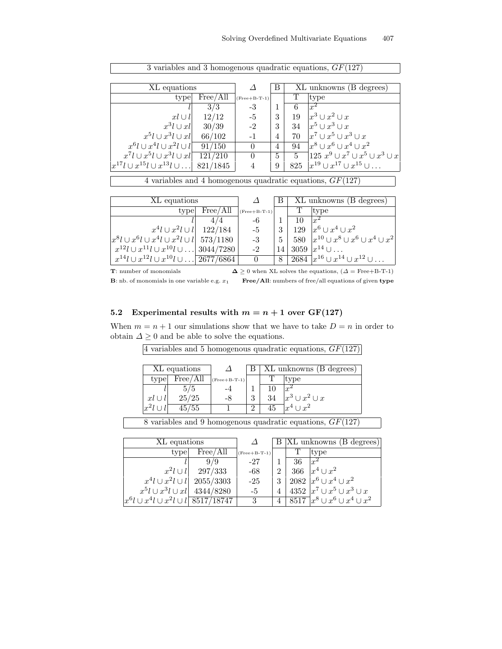| 3 variables and 3 homogenous quadratic equations, $GF(127)$                                                                                       |          |                  |                |    |                                             |  |  |  |
|---------------------------------------------------------------------------------------------------------------------------------------------------|----------|------------------|----------------|----|---------------------------------------------|--|--|--|
|                                                                                                                                                   |          |                  |                |    |                                             |  |  |  |
| XL equations                                                                                                                                      |          | $\Lambda$        | В              |    | XL unknowns (B degrees)                     |  |  |  |
| type                                                                                                                                              | Free/All | $(Free + B-T-1)$ |                | T  | type                                        |  |  |  |
|                                                                                                                                                   | 3/3      | $-3$             | 1              | 6  | $x^2$                                       |  |  |  |
| $xl \cup l$                                                                                                                                       | 12/12    | $-5$             | 3              | 19 | $x^3 \cup x^2 \cup x$                       |  |  |  |
| $x^3l \cup xl$                                                                                                                                    | 30/39    | $-2$             | 3              | 34 | $x^5 \cup x^3 \cup x$                       |  |  |  |
| $x^5l \cup x^3l \cup xl$                                                                                                                          | 66/102   | $-1$             | $\overline{4}$ | 70 | $x^7 \cup x^5 \cup x^3 \cup x$              |  |  |  |
| $x^6l\cup x^4l\cup x^2l\cup l$                                                                                                                    | 91/150   |                  | 4              | 94 | $x^8 \cup x^6 \cup x^4 \cup x^2$            |  |  |  |
| $x^7l \cup x^5l \cup x^3l \cup xl$ 121/210                                                                                                        |          |                  | 5              | 5  | 125 $x^9 \cup x^7 \cup x^5 \cup x^3 \cup x$ |  |  |  |
| $x^{19} \cup x^{17} \cup x^{15} \cup \ldots$<br>$x^{17}$ l $\cup x^{15}$ l $\cup x^{13}$ l $\cup \ldots$   821/1845<br>825<br>9<br>$\overline{4}$ |          |                  |                |    |                                             |  |  |  |
| 4 variables and 4 homogenous quadratic equations, $GF(127)$                                                                                       |          |                  |                |    |                                             |  |  |  |

| XL equations                                                       |          |                  |   | XL unknowns (B degrees) |                                                    |
|--------------------------------------------------------------------|----------|------------------|---|-------------------------|----------------------------------------------------|
| type                                                               | Free/All | $(Free + B-T-1)$ |   |                         | type                                               |
|                                                                    | 4/4      | -6               |   | 10                      | $x^2$                                              |
| $x^4l \cup x^2l \cup l$ 122/184                                    |          | $-5$             | 3 |                         | 129 $x^6 \cup x^4 \cup x^2$                        |
| $ x^{8}l \cup x^{6}l \cup x^{4}l \cup x^{2}l \cup l $ 573/1180     |          | $-3$             |   |                         | 5 580 $x^{10} \cup x^8 \cup x^6 \cup x^4 \cup x^2$ |
| $x^{12}$ l $\cup x^{11}$ l $\cup x^{10}$ l $\cup \dots$ 3044/7280  |          | $-2$             |   |                         | 14 3059 $x^{14} \cup $                             |
| $x^{14}$ l $\cup x^{12}$ l $\cup x^{10}$ l $\cup \ldots$ 2677/6864 |          | $\theta$         |   |                         | 8 2684 $x^{16} \cup x^{14} \cup x^{12} \cup $      |

T: number of monomials  $\Delta \geq 0$  when XL solves the equations,  $(\Delta = \text{Free} + \text{B-T-1})$ 

**B:** nb. of monomials in one variable e.g.  $x_1$  **Free/All:** numbers of free/all equations of given type

# 5.2 Experimental results with  $m = n + 1$  over  $GF(127)$

When  $m = n + 1$  our simulations show that we have to take  $D = n$  in order to obtain  $\Delta \geq 0$  and be able to solve the equations.

| 4 variables and 5 homogenous quadratic equations, $GF(127)$ |          |                  |   |                         |                       |  |  |
|-------------------------------------------------------------|----------|------------------|---|-------------------------|-----------------------|--|--|
|                                                             |          |                  |   |                         |                       |  |  |
| XL equations                                                |          |                  | B | XL unknowns (B degrees) |                       |  |  |
| type                                                        | Free/All | $(Free + B-T-1)$ |   |                         | type                  |  |  |
|                                                             | 5/5      | -4               |   | 10                      | $x^2$                 |  |  |
| $xl \cup l$                                                 | 25/25    | -8               | 3 | 34                      | $x^3 \cup x^2 \cup x$ |  |  |
|                                                             | 45/55    |                  | 2 | 45                      | $x^4 \cup x^2$        |  |  |
|                                                             |          |                  |   |                         |                       |  |  |

8 variables and 9 homogenous quadratic equations,  $GF(127)$ 

| XL equations                                                |          |                  | B  XL unknowns (B degrees) |     |                                       |
|-------------------------------------------------------------|----------|------------------|----------------------------|-----|---------------------------------------|
| type                                                        | Free/All | $(Free + B-T-1)$ |                            |     | type                                  |
|                                                             | 9/9      | $-27$            |                            | -36 | $x^2$                                 |
| $x^2l\cup l$                                                | 297/333  | -68              | $\overline{2}$             | 366 | $x^4 \cup x^2$                        |
| $x^4l \cup x^2l \cup l$ 2055/3303                           |          | $-25$            | 3                          |     | 2082 $x^6 \cup x^4 \cup x^2$          |
| $x^{5}$ l $\cup$ $x^{3}$ l $\cup$ $x$ l $\mid$ 4344/8280    |          | $-5$             |                            |     | 4352 $ x^7 \cup x^5 \cup x^3 \cup x$  |
| $x^{6}$ l $\cup x^{4}$ l $\cup x^{2}$ l $\cup l$ 8517/18747 |          | 3                |                            |     | 8517 $x^8 \cup x^6 \cup x^4 \cup x^2$ |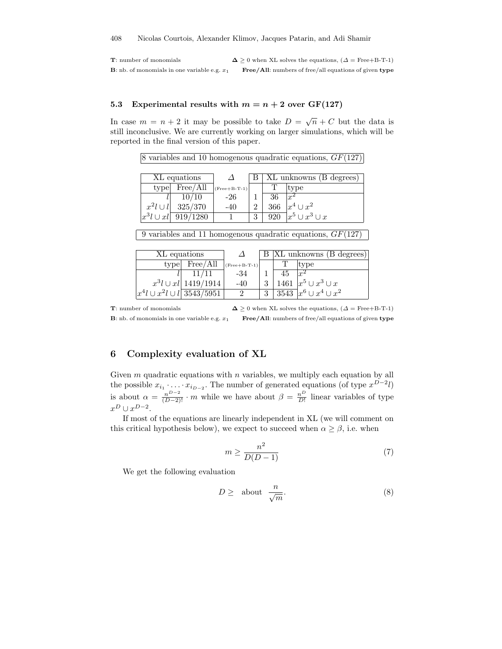| <b>T</b> : number of monomials                         | $\Delta \geq 0$ when XL solves the equations, $(\Delta = \text{Free} + \text{B-T-1})$ |
|--------------------------------------------------------|---------------------------------------------------------------------------------------|
| <b>B</b> : nb. of monomials in one variable e.g. $x_1$ | <b>Free/All:</b> numbers of free/all equations of given type                          |

## 5.3 Experimental results with  $m = n + 2$  over GF(127)

In case  $m = n + 2$  it may be possible to take  $D = \sqrt{n} + C$  but the data is still inconclusive. We are currently working on larger simulations, which will be reported in the final version of this paper.

| 8 variables and 10 homogenous quadratic equations, $GF(127)$ |                           |                                                 |               |     |                            |  |  |
|--------------------------------------------------------------|---------------------------|-------------------------------------------------|---------------|-----|----------------------------|--|--|
|                                                              |                           |                                                 |               |     |                            |  |  |
|                                                              | XL equations              |                                                 | В             |     | XL unknowns (B degrees)    |  |  |
| type                                                         | Free/All                  | $(\mathrm{Free}{+}\mathrm{B}{-}\mathrm{T}{-}1)$ |               |     | type                       |  |  |
|                                                              | 10/10                     | $-26$                                           |               | -36 | $ x^2$                     |  |  |
| $x^2l\cup l$                                                 | 325/370                   | $-40$                                           | $\mathcal{D}$ | 366 | $x^4 \cup x^2$             |  |  |
|                                                              | $x^3 l \cup x l$ 919/1280 |                                                 | 3             | 920 | $\neg_x 5 \cup x^3 \cup x$ |  |  |

9 variables and 11 homogenous quadratic equations,  $GF(127)$ 

| XL equations                      |                            |                  |   | B  XL unknowns (B degrees) |                              |
|-----------------------------------|----------------------------|------------------|---|----------------------------|------------------------------|
| type                              | Free/All                   | $(Free + B-T-1)$ |   |                            | type                         |
|                                   | 11/11                      | -34              |   | 45                         | $x^2$                        |
|                                   | $x^3 l \cup x l$ 1419/1914 | -40              | 3 |                            | 1461 $ x^5 \cup x^3 \cup x$  |
| $x^4l \cup x^2l \cup l$ 3543/5951 |                            |                  | 3 |                            | 3543 $x^6 \cup x^4 \cup x^2$ |

T: number of monomials  $\Delta \geq 0$  when XL solves the equations,  $(\Delta = \text{Free} + \text{B-T-1})$ **B:** nb. of monomials in one variable e.g.  $x_1$  **Free/All:** numbers of free/all equations of given type

# 6 Complexity evaluation of XL

Given  $m$  quadratic equations with  $n$  variables, we multiply each equation by all the possible  $x_{i_1} \cdot \ldots \cdot x_{i_{D-2}}$ . The number of generated equations (of type  $x^{D-2}$ l) is about  $\alpha = \frac{n^{D-2}}{(D-2)!} \cdot m$  while we have about  $\beta = \frac{n^D}{D!}$  $\frac{n^2}{D!}$  linear variables of type  $x^D \cup x^{D-2}.$ 

If most of the equations are linearly independent in XL (we will comment on this critical hypothesis below), we expect to succeed when  $\alpha \geq \beta$ , i.e. when

$$
m \ge \frac{n^2}{D(D-1)}\tag{7}
$$

We get the following evaluation

$$
D \geq \quad \text{about} \quad \frac{n}{\sqrt{m}}. \tag{8}
$$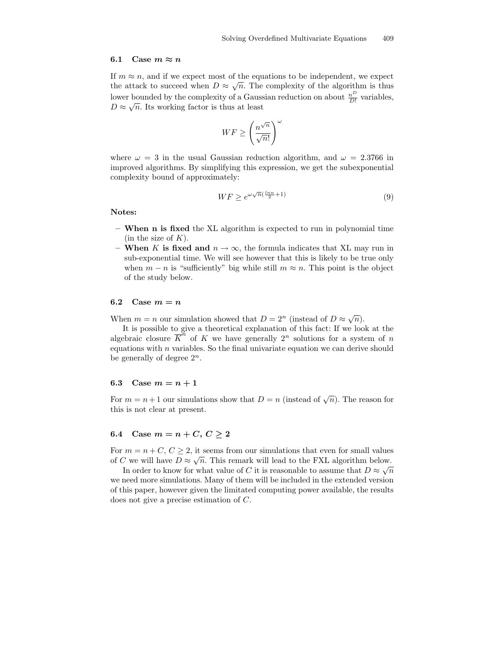#### 6.1 Case  $m \approx n$

If  $m \approx n$ , and if we expect most of the equations to be independent, we expect the attack to succeed when  $D \approx \sqrt{n}$ . The complexity of the algorithm is thus lower bounded by the complexity of a Gaussian reduction on about  $\frac{n^D}{D!}$  $\frac{n^2}{D!}$  variables,  $D \approx \sqrt{n}$ . Its working factor is thus at least

$$
WF \geq \left(\frac{n^{\sqrt{n}}}{\sqrt{n!}}\right)^{\omega}
$$

where  $\omega = 3$  in the usual Gaussian reduction algorithm, and  $\omega = 2.3766$  in improved algorithms. By simplifying this expression, we get the subexponential complexity bound of approximately:

$$
WF \ge e^{\omega \sqrt{n}(\frac{\ln n}{2} + 1)}\tag{9}
$$

#### Notes:

- When n is fixed the XL algorithm is expected to run in polynomial time  $(in the size of K).$
- When K is fixed and  $n \to \infty$ , the formula indicates that XL may run in sub-exponential time. We will see however that this is likely to be true only when  $m - n$  is "sufficiently" big while still  $m \approx n$ . This point is the object of the study below.

#### 6.2 Case  $m = n$

When  $m = n$  our simulation showed that  $D = 2^n$  (instead of  $D \approx \sqrt{n}$ ).

It is possible to give a theoretical explanation of this fact: If we look at the algebraic closure  $\overline{K}^n$  of K we have generally  $2^n$  solutions for a system of n equations with  $n$  variables. So the final univariate equation we can derive should be generally of degree  $2^n$ .

#### 6.3 Case  $m = n + 1$

For  $m = n + 1$  our simulations show that  $D = n$  (instead of  $\sqrt{n}$ ). The reason for this is not clear at present.

## 6.4 Case  $m = n + C, C \ge 2$

For  $m = n + C, C \geq 2$ , it seems from our simulations that even for small values of C we will have  $\overline{D} \approx \sqrt{n}$ . This remark will lead to the FXL algorithm below.

In order to know for what value of C it is reasonable to assume that  $D \approx \sqrt{n}$ we need more simulations. Many of them will be included in the extended version of this paper, however given the limitated computing power available, the results does not give a precise estimation of C.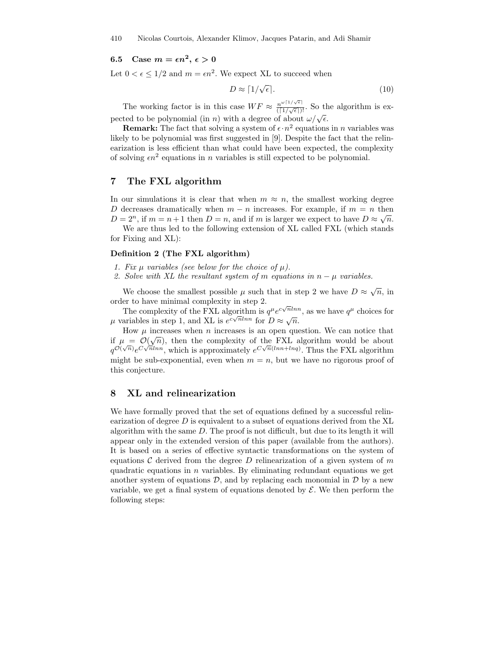## 6.5 Case  $m = \epsilon n^2, \, \epsilon > 0$

Let  $0 < \epsilon \leq 1/2$  and  $m = \epsilon n^2$ . We expect XL to succeed when

$$
D \approx \lceil 1/\sqrt{\epsilon} \rceil. \tag{10}
$$

The working factor is in this case  $WF \approx \frac{n^{\omega[1/\sqrt{\epsilon}]} }{([1/\sqrt{\epsilon}])}$  $\frac{n^{2(1/\sqrt{\epsilon})}}{(\lceil 1/\sqrt{\epsilon} \rceil)!}$ . So the algorithm is expected to be polynomial (in *n*) with a degree of about  $\omega/\sqrt{\epsilon}$ .

**Remark:** The fact that solving a system of  $\epsilon \cdot n^2$  equations in *n* variables was likely to be polynomial was first suggested in [9]. Despite the fact that the relinearization is less efficient than what could have been expected, the complexity of solving  $\epsilon n^2$  equations in n variables is still expected to be polynomial.

## 7 The FXL algorithm

In our simulations it is clear that when  $m \approx n$ , the smallest working degree D decreases dramatically when  $m - n$  increases. For example, if  $m = n$  then  $D = 2^n$ , if  $m = n + 1$  then  $D = n$ , and if m is larger we expect to have  $D \approx \sqrt{n}$ .

We are thus led to the following extension of XL called FXL (which stands for Fixing and XL):

## Definition 2 (The FXL algorithm)

- 1. Fix  $\mu$  variables (see below for the choice of  $\mu$ ).
- 2. Solve with XL the resultant system of m equations in  $n \mu$  variables.

We choose the smallest possible  $\mu$  such that in step 2 we have  $D \approx \sqrt{n}$ , in order to have minimal complexity in step 2.

The complexity of the FXL algorithm is  $q^{\mu}e^{c\sqrt{n}lnn}$ , as we have  $q^{\mu}$  choices for  $\mu$  variables in step 1, and XL is  $e^{c\sqrt{n}\ln n}$  for  $D \approx \sqrt{n}$ .

How  $\mu$  increases when n increases is an open question. We can notice that if  $\mu = \mathcal{O}(\sqrt{n})$ , then the complexity of the FXL algorithm would be about  $q^{\mathcal{O}(\sqrt{n})}e^{C\sqrt{n}lnn}$ , which is approximately  $e^{C\sqrt{n}(lnn+lnq)}$ . Thus the FXL algorithm might be sub-exponential, even when  $m = n$ , but we have no rigorous proof of this conjecture.

## 8 XL and relinearization

We have formally proved that the set of equations defined by a successful relinearization of degree  $D$  is equivalent to a subset of equations derived from the  $XL$ algorithm with the same  $D$ . The proof is not difficult, but due to its length it will appear only in the extended version of this paper (available from the authors). It is based on a series of effective syntactic transformations on the system of equations C derived from the degree D relinearization of a given system of  $m$ quadratic equations in  $n$  variables. By eliminating redundant equations we get another system of equations  $\mathcal{D}$ , and by replacing each monomial in  $\mathcal{D}$  by a new variable, we get a final system of equations denoted by  $\mathcal{E}$ . We then perform the following steps: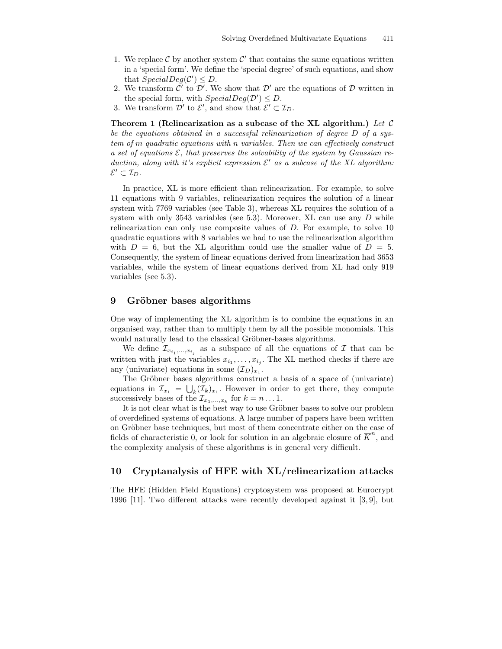- 1. We replace  $\mathcal C$  by another system  $\mathcal C'$  that contains the same equations written in a 'special form'. We define the 'special degree' of such equations, and show that  $SpecialDeg(\mathcal{C}') \leq D.$
- 2. We transform  $\mathcal{C}'$  to  $\mathcal{D}'$ . We show that  $\mathcal{D}'$  are the equations of  $\mathcal D$  written in the special form, with  $SpecialDeg(D') \leq D$ .
- 3. We transform  $\mathcal{D}'$  to  $\mathcal{E}'$ , and show that  $\mathcal{E}' \subset \mathcal{I}_D$ .

Theorem 1 (Relinearization as a subcase of the XL algorithm.) Let  $\mathcal C$ be the equations obtained in a successful relinearization of degree D of a system of m quadratic equations with n variables. Then we can effectively construct a set of equations  $\mathcal{E}$ , that preserves the solvability of the system by Gaussian reduction, along with it's explicit expression  $\mathcal{E}'$  as a subcase of the XL algorithm:  $\mathcal{E}'\subset \mathcal{I}_D.$ 

In practice, XL is more efficient than relinearization. For example, to solve 11 equations with 9 variables, relinearization requires the solution of a linear system with 7769 variables (see Table 3), whereas XL requires the solution of a system with only 3543 variables (see 5.3). Moreover, XL can use any  $D$  while relinearization can only use composite values of  $D$ . For example, to solve 10 quadratic equations with 8 variables we had to use the relinearization algorithm with  $D = 6$ , but the XL algorithm could use the smaller value of  $D = 5$ . Consequently, the system of linear equations derived from linearization had 3653 variables, while the system of linear equations derived from XL had only 919 variables (see 5.3).

## 9 Gröbner bases algorithms

One way of implementing the XL algorithm is to combine the equations in an organised way, rather than to multiply them by all the possible monomials. This would naturally lead to the classical Gröbner-bases algorithms.

We define  $\mathcal{I}_{x_{i_1},...,x_{i_j}}$  as a subspace of all the equations of  $\mathcal I$  that can be written with just the variables  $x_{i_1}, \ldots, x_{i_j}$ . The XL method checks if there are any (univariate) equations in some  $(\mathcal{I}_D)_{x_1}$ .

The Gröbner bases algorithms construct a basis of a space of (univariate) equations in  $\mathcal{I}_{x_1} = \bigcup_k (\mathcal{I}_k)_{x_1}$ . However in order to get there, they compute successively bases of the  $\mathcal{I}_{x_1,...,x_k}$  for  $k = n...1$ .

It is not clear what is the best way to use Gröbner bases to solve our problem of overdefined systems of equations. A large number of papers have been written on Gröbner base techniques, but most of them concentrate either on the case of fields of characteristic 0, or look for solution in an algebraic closure of  $\overline{K}^n$ , and the complexity analysis of these algorithms is in general very difficult.

## 10 Cryptanalysis of HFE with XL/relinearization attacks

The HFE (Hidden Field Equations) cryptosystem was proposed at Eurocrypt 1996 [11]. Two different attacks were recently developed against it [3, 9], but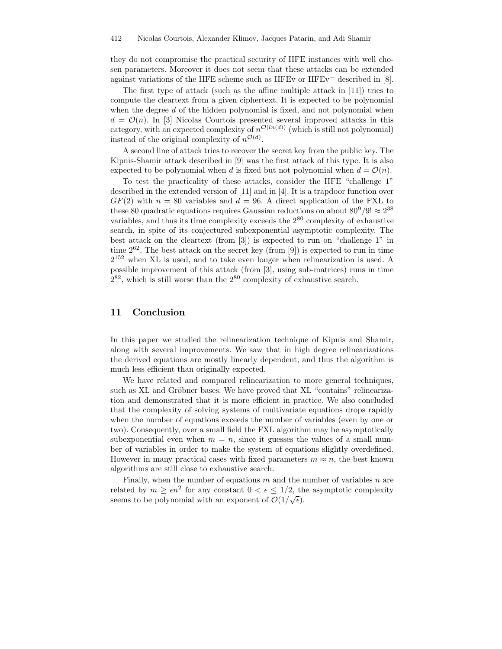they do not compromise the practical security of HFE instances with well chosen parameters. Moreover it does not seem that these attacks can be extended against variations of the HFE scheme such as HFEv or HFEv− described in [8].

The first type of attack (such as the affine multiple attack in [11]) tries to compute the cleartext from a given ciphertext. It is expected to be polynomial when the degree d of the hidden polynomial is fixed, and not polynomial when  $d = \mathcal{O}(n)$ . In [3] Nicolas Courtois presented several improved attacks in this category, with an expected complexity of  $n^{\mathcal{O}(ln(d))}$  (which is still not polynomial) instead of the original complexity of  $n^{\mathcal{O}(d)}$ .

A second line of attack tries to recover the secret key from the public key. The Kipnis-Shamir attack described in [9] was the first attack of this type. It is also expected to be polynomial when d is fixed but not polynomial when  $d = \mathcal{O}(n)$ .

To test the practicality of these attacks, consider the HFE "challenge 1" described in the extended version of [11] and in [4]. It is a trapdoor function over  $GF(2)$  with  $n = 80$  variables and  $d = 96$ . A direct application of the FXL to these 80 quadratic equations requires Gaussian reductions on about  $80^9/9! \approx 2^{38}$ variables, and thus its time complexity exceeds the  $2^{80}$  complexity of exhaustive search, in spite of its conjectured subexponential asymptotic complexity. The best attack on the cleartext (from [3]) is expected to run on "challenge 1" in time  $2^{62}$ . The best attack on the secret key (from [9]) is expected to run in time 2 <sup>152</sup> when XL is used, and to take even longer when relinearization is used. A possible improvement of this attack (from [3], using sub-matrices) runs in time  $2^{82}$ , which is still worse than the  $2^{80}$  complexity of exhaustive search.

## 11 Conclusion

In this paper we studied the relinearization technique of Kipnis and Shamir, along with several improvements. We saw that in high degree relinearizations the derived equations are mostly linearly dependent, and thus the algorithm is much less efficient than originally expected.

We have related and compared relinearization to more general techniques, such as XL and Gröbner bases. We have proved that XL "contains" relinearization and demonstrated that it is more efficient in practice. We also concluded that the complexity of solving systems of multivariate equations drops rapidly when the number of equations exceeds the number of variables (even by one or two). Consequently, over a small field the FXL algorithm may be asymptotically subexponential even when  $m = n$ , since it guesses the values of a small number of variables in order to make the system of equations slightly overdefined. However in many practical cases with fixed parameters  $m \approx n$ , the best known algorithms are still close to exhaustive search.

Finally, when the number of equations  $m$  and the number of variables  $n$  are related by  $m \geq \epsilon n^2$  for any constant  $0 < \epsilon \leq 1/2$ , the asymptotic complexity seems to be polynomial with an exponent of  $\mathcal{O}(1/\sqrt{\epsilon})$ .